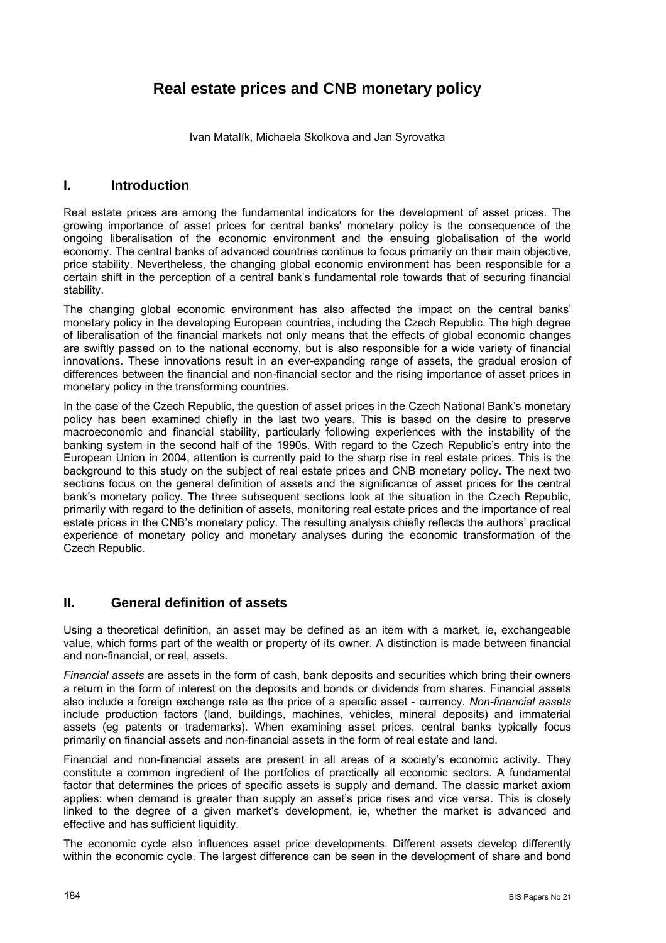# **Real estate prices and CNB monetary policy**

Ivan Matalík, Michaela Skolkova and Jan Syrovatka

## **I. Introduction**

Real estate prices are among the fundamental indicators for the development of asset prices. The growing importance of asset prices for central banks' monetary policy is the consequence of the ongoing liberalisation of the economic environment and the ensuing globalisation of the world economy. The central banks of advanced countries continue to focus primarily on their main objective, price stability. Nevertheless, the changing global economic environment has been responsible for a certain shift in the perception of a central bank's fundamental role towards that of securing financial stability.

The changing global economic environment has also affected the impact on the central banks' monetary policy in the developing European countries, including the Czech Republic. The high degree of liberalisation of the financial markets not only means that the effects of global economic changes are swiftly passed on to the national economy, but is also responsible for a wide variety of financial innovations. These innovations result in an ever-expanding range of assets, the gradual erosion of differences between the financial and non-financial sector and the rising importance of asset prices in monetary policy in the transforming countries.

In the case of the Czech Republic, the question of asset prices in the Czech National Bank's monetary policy has been examined chiefly in the last two years. This is based on the desire to preserve macroeconomic and financial stability, particularly following experiences with the instability of the banking system in the second half of the 1990s. With regard to the Czech Republic's entry into the European Union in 2004, attention is currently paid to the sharp rise in real estate prices. This is the background to this study on the subject of real estate prices and CNB monetary policy. The next two sections focus on the general definition of assets and the significance of asset prices for the central bank's monetary policy. The three subsequent sections look at the situation in the Czech Republic, primarily with regard to the definition of assets, monitoring real estate prices and the importance of real estate prices in the CNB's monetary policy. The resulting analysis chiefly reflects the authors' practical experience of monetary policy and monetary analyses during the economic transformation of the Czech Republic.

## **II. General definition of assets**

Using a theoretical definition, an asset may be defined as an item with a market, ie, exchangeable value, which forms part of the wealth or property of its owner. A distinction is made between financial and non-financial, or real, assets.

*Financial assets* are assets in the form of cash, bank deposits and securities which bring their owners a return in the form of interest on the deposits and bonds or dividends from shares. Financial assets also include a foreign exchange rate as the price of a specific asset - currency. *Non-financial assets* include production factors (land, buildings, machines, vehicles, mineral deposits) and immaterial assets (eg patents or trademarks). When examining asset prices, central banks typically focus primarily on financial assets and non-financial assets in the form of real estate and land.

Financial and non-financial assets are present in all areas of a society's economic activity. They constitute a common ingredient of the portfolios of practically all economic sectors. A fundamental factor that determines the prices of specific assets is supply and demand. The classic market axiom applies: when demand is greater than supply an asset's price rises and vice versa. This is closely linked to the degree of a given market's development, ie, whether the market is advanced and effective and has sufficient liquidity.

The economic cycle also influences asset price developments. Different assets develop differently within the economic cycle. The largest difference can be seen in the development of share and bond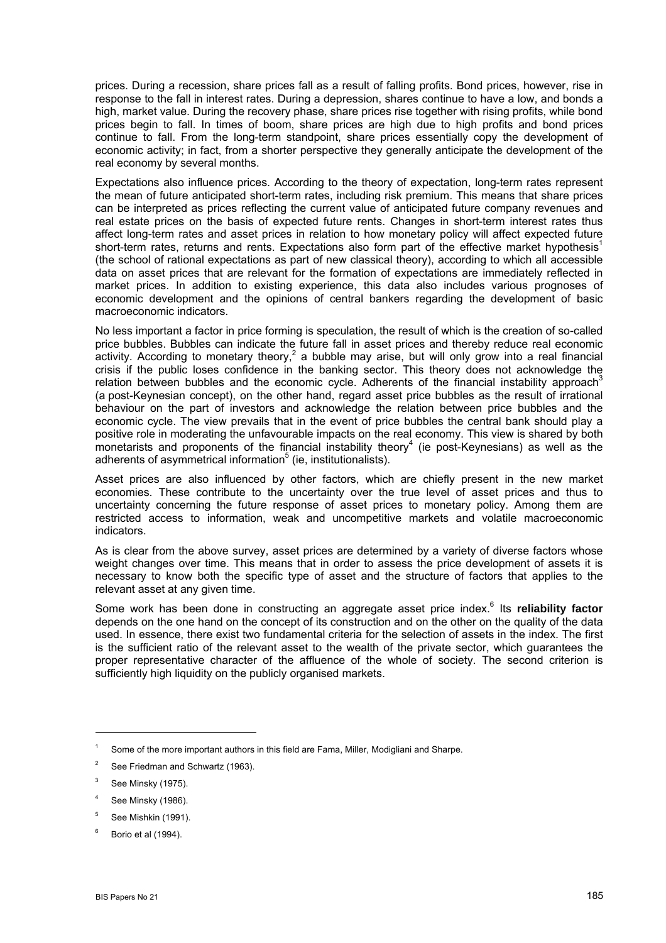prices. During a recession, share prices fall as a result of falling profits. Bond prices, however, rise in response to the fall in interest rates. During a depression, shares continue to have a low, and bonds a high, market value. During the recovery phase, share prices rise together with rising profits, while bond prices begin to fall. In times of boom, share prices are high due to high profits and bond prices continue to fall. From the long-term standpoint, share prices essentially copy the development of economic activity; in fact, from a shorter perspective they generally anticipate the development of the real economy by several months.

Expectations also influence prices. According to the theory of expectation, long-term rates represent the mean of future anticipated short-term rates, including risk premium. This means that share prices can be interpreted as prices reflecting the current value of anticipated future company revenues and real estate prices on the basis of expected future rents. Changes in short-term interest rates thus affect long-term rates and asset prices in relation to how monetary policy will affect expected future short-term rates, returns and rents. Expectations also form part of the effective market hypothesis<sup>[1](#page-1-0)</sup> (the school of rational expectations as part of new classical theory), according to which all accessible data on asset prices that are relevant for the formation of expectations are immediately reflected in market prices. In addition to existing experience, this data also includes various prognoses of economic development and the opinions of central bankers regarding the development of basic macroeconomic indicators.

No less important a factor in price forming is speculation, the result of which is the creation of so-called price bubbles. Bubbles can indicate the future fall in asset prices and thereby reduce real economic activity.According to monetary theory,<sup>2</sup> a bubble may arise, but will only grow into a real financial crisis if the public loses confidence in the banking sector. This theory does not acknowledge the relation between bubbles and the economic cycle. Adherents of the financial instability approach<sup>[3](#page-1-2)</sup> (a post-Keynesian concept), on the other hand, regard asset price bubbles as the result of irrational behaviour on the part of investors and acknowledge the relation between price bubbles and the economic cycle. The view prevails that in the event of price bubbles the central bank should play a positive role in moderating the unfavourable impacts on the real economy. This view is shared by both monetarists and proponents of the financial instability theory<sup>4</sup> (ie post-Keynesians) as well as the adherents of asymmetrical information<sup>5</sup> (ie, institutionalists).

Asset prices are also influenced by other factors, which are chiefly present in the new market economies. These contribute to the uncertainty over the true level of asset prices and thus to uncertainty concerning the future response of asset prices to monetary policy. Among them are restricted access to information, weak and uncompetitive markets and volatile macroeconomic indicators.

As is clear from the above survey, asset prices are determined by a variety of diverse factors whose weight changes over time. This means that in order to assess the price development of assets it is necessary to know both the specific type of asset and the structure of factors that applies to the relevant asset at any given time.

Some work has been done in constructing an aggregate asset price index.<sup>[6](#page-1-5)</sup> Its reliability factor depends on the one hand on the concept of its construction and on the other on the quality of the data used. In essence, there exist two fundamental criteria for the selection of assets in the index. The first is the sufficient ratio of the relevant asset to the wealth of the private sector, which guarantees the proper representative character of the affluence of the whole of society. The second criterion is sufficiently high liquidity on the publicly organised markets.

<span id="page-1-0"></span><sup>&</sup>lt;sup>1</sup> Some of the more important authors in this field are Fama, Miller, Modigliani and Sharpe.

<span id="page-1-1"></span><sup>&</sup>lt;sup>2</sup> See Friedman and Schwartz (1963).

<span id="page-1-2"></span><sup>3</sup> See Minsky (1975).

<span id="page-1-3"></span><sup>4</sup> See Minsky (1986).

<span id="page-1-4"></span> $5$  See Mishkin (1991).

<span id="page-1-5"></span> $6$  Borio et al (1994).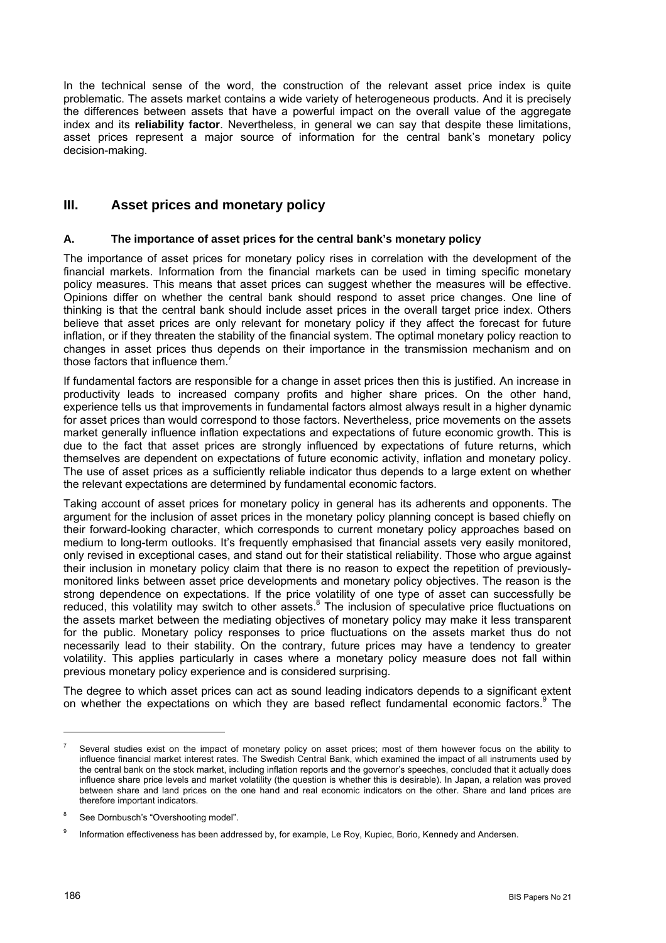In the technical sense of the word, the construction of the relevant asset price index is quite problematic. The assets market contains a wide variety of heterogeneous products. And it is precisely the differences between assets that have a powerful impact on the overall value of the aggregate index and its **reliability factor**. Nevertheless, in general we can say that despite these limitations, asset prices represent a major source of information for the central bank's monetary policy decision-making.

## **III. Asset prices and monetary policy**

#### **A. The importance of asset prices for the central bank's monetary policy**

The importance of asset prices for monetary policy rises in correlation with the development of the financial markets. Information from the financial markets can be used in timing specific monetary policy measures. This means that asset prices can suggest whether the measures will be effective. Opinions differ on whether the central bank should respond to asset price changes. One line of thinking is that the central bank should include asset prices in the overall target price index. Others believe that asset prices are only relevant for monetary policy if they affect the forecast for future inflation, or if they threaten the stability of the financial system. The optimal monetary policy reaction to changes in asset prices thus depends on their importance in the transmission mechanism and on those factors that influence them.

If fundamental factors are responsible for a change in asset prices then this is justified. An increase in productivity leads to increased company profits and higher share prices. On the other hand, experience tells us that improvements in fundamental factors almost always result in a higher dynamic for asset prices than would correspond to those factors. Nevertheless, price movements on the assets market generally influence inflation expectations and expectations of future economic growth. This is due to the fact that asset prices are strongly influenced by expectations of future returns, which themselves are dependent on expectations of future economic activity, inflation and monetary policy. The use of asset prices as a sufficiently reliable indicator thus depends to a large extent on whether the relevant expectations are determined by fundamental economic factors.

Taking account of asset prices for monetary policy in general has its adherents and opponents. The argument for the inclusion of asset prices in the monetary policy planning concept is based chiefly on their forward-looking character, which corresponds to current monetary policy approaches based on medium to long-term outlooks. It's frequently emphasised that financial assets very easily monitored, only revised in exceptional cases, and stand out for their statistical reliability. Those who argue against their inclusion in monetary policy claim that there is no reason to expect the repetition of previouslymonitored links between asset price developments and monetary policy objectives. The reason is the strong dependence on expectations. If the price volatility of one type of asset can successfully be reduced, this volatility may switch to other assets.<sup>[8](#page-2-1)</sup> The inclusion of speculative price fluctuations on the assets market between the mediating objectives of monetary policy may make it less transparent for the public. Monetary policy responses to price fluctuations on the assets market thus do not necessarily lead to their stability. On the contrary, future prices may have a tendency to greater volatility. This applies particularly in cases where a monetary policy measure does not fall within previous monetary policy experience and is considered surprising.

The degree to which asset prices can act as sound leading indicators depends to a significant extent on whether the expectations on which they are based reflect fundamental economic factors.<sup>[9](#page-2-2)</sup> The

<span id="page-2-0"></span>Several studies exist on the impact of monetary policy on asset prices; most of them however focus on the ability to influence financial market interest rates. The Swedish Central Bank, which examined the impact of all instruments used by the central bank on the stock market, including inflation reports and the governor's speeches, concluded that it actually does influence share price levels and market volatility (the question is whether this is desirable). In Japan, a relation was proved between share and land prices on the one hand and real economic indicators on the other. Share and land prices are therefore important indicators.

<span id="page-2-1"></span>See Dornbusch's "Overshooting model".

<span id="page-2-2"></span><sup>&</sup>lt;sup>9</sup> Information effectiveness has been addressed by, for example, Le Roy, Kupiec, Borio, Kennedy and Andersen.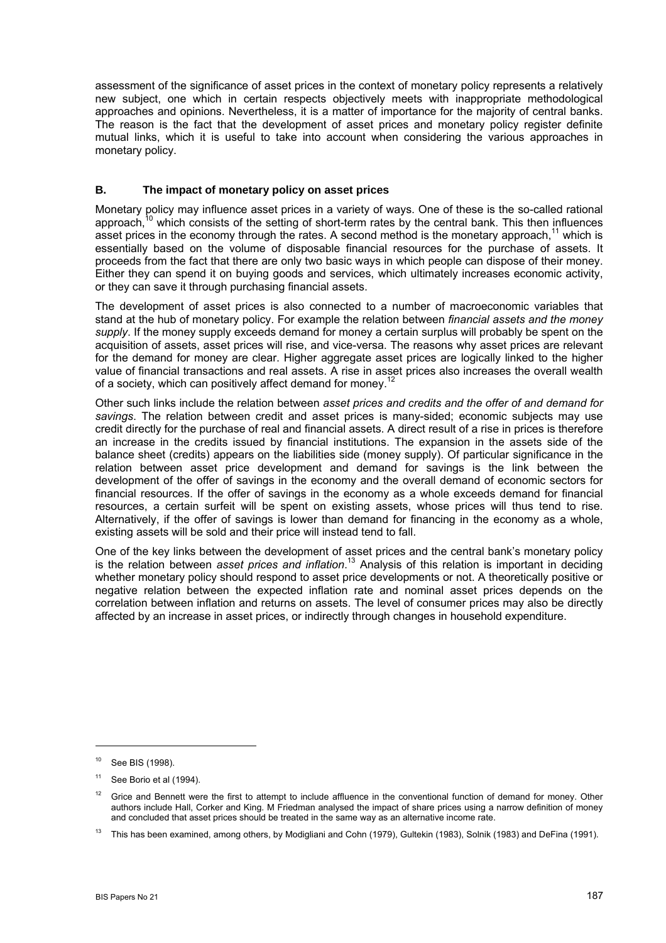assessment of the significance of asset prices in the context of monetary policy represents a relatively new subject, one which in certain respects objectively meets with inappropriate methodological approaches and opinions. Nevertheless, it is a matter of importance for the majority of central banks. The reason is the fact that the development of asset prices and monetary policy register definite mutual links, which it is useful to take into account when considering the various approaches in monetary policy.

#### **B. The impact of monetary policy on asset prices**

Monetary policy may influence asset prices in a variety of ways. One of these is the so-called rational approach, $10$  which consists of the setting of short-term rates by the central bank. This then influences asset prices in the economy through the rates. A second method is the monetary approach,<sup>11</sup> which is essentially based on the volume of disposable financial resources for the purchase of assets. It proceeds from the fact that there are only two basic ways in which people can dispose of their money. Either they can spend it on buying goods and services, which ultimately increases economic activity, or they can save it through purchasing financial assets.

The development of asset prices is also connected to a number of macroeconomic variables that stand at the hub of monetary policy. For example the relation between *financial assets and the money supply*. If the money supply exceeds demand for money a certain surplus will probably be spent on the acquisition of assets, asset prices will rise, and vice-versa. The reasons why asset prices are relevant for the demand for money are clear. Higher aggregate asset prices are logically linked to the higher value of financial transactions and real assets. A rise in asset prices also increases the overall wealth of a society, which can positively affect demand for monev.<sup>[12](#page-3-2)</sup>

Other such links include the relation between *asset prices and credits and the offer of and demand for savings*. The relation between credit and asset prices is many-sided; economic subjects may use credit directly for the purchase of real and financial assets. A direct result of a rise in prices is therefore an increase in the credits issued by financial institutions. The expansion in the assets side of the balance sheet (credits) appears on the liabilities side (money supply). Of particular significance in the relation between asset price development and demand for savings is the link between the development of the offer of savings in the economy and the overall demand of economic sectors for financial resources. If the offer of savings in the economy as a whole exceeds demand for financial resources, a certain surfeit will be spent on existing assets, whose prices will thus tend to rise. Alternatively, if the offer of savings is lower than demand for financing in the economy as a whole, existing assets will be sold and their price will instead tend to fall.

One of the key links between the development of asset prices and the central bank's monetary policy is the relation between *asset prices and inflation*. [13](#page-3-3) Analysis of this relation is important in deciding whether monetary policy should respond to asset price developments or not. A theoretically positive or negative relation between the expected inflation rate and nominal asset prices depends on the correlation between inflation and returns on assets. The level of consumer prices may also be directly affected by an increase in asset prices, or indirectly through changes in household expenditure.

<span id="page-3-0"></span><sup>10</sup> See BIS (1998).

<span id="page-3-1"></span> $11$  See Borio et al (1994).

<span id="page-3-2"></span> $12$  Grice and Bennett were the first to attempt to include affluence in the conventional function of demand for money. Other authors include Hall, Corker and King. M Friedman analysed the impact of share prices using a narrow definition of money and concluded that asset prices should be treated in the same way as an alternative income rate.

<span id="page-3-3"></span><sup>&</sup>lt;sup>13</sup> This has been examined, among others, by Modigliani and Cohn (1979), Gultekin (1983), Solnik (1983) and DeFina (1991).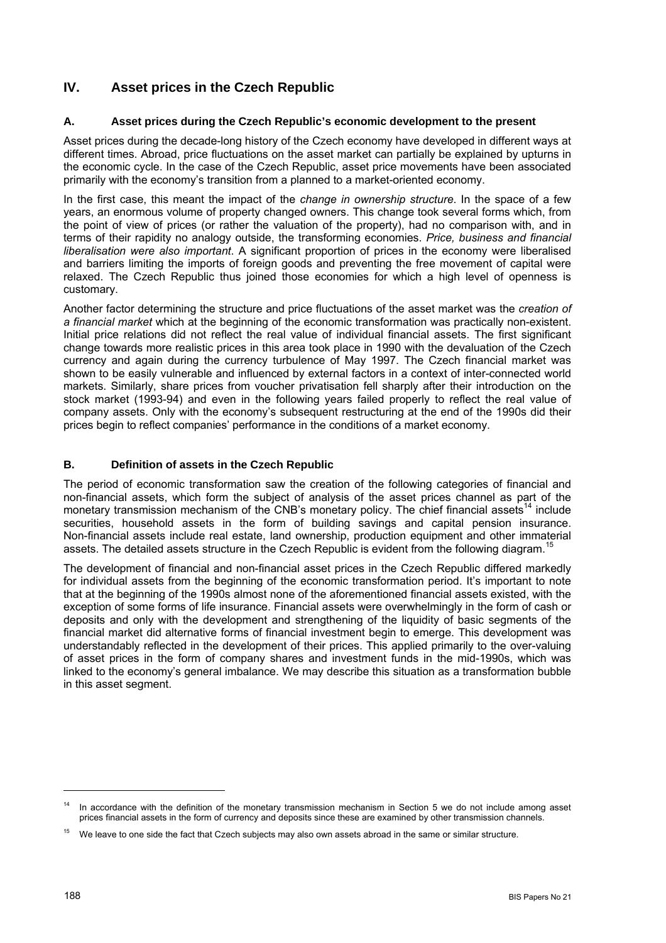## **IV. Asset prices in the Czech Republic**

### **A. Asset prices during the Czech Republic's economic development to the present**

Asset prices during the decade-long history of the Czech economy have developed in different ways at different times. Abroad, price fluctuations on the asset market can partially be explained by upturns in the economic cycle. In the case of the Czech Republic, asset price movements have been associated primarily with the economy's transition from a planned to a market-oriented economy.

In the first case, this meant the impact of the *change in ownership structure*. In the space of a few years, an enormous volume of property changed owners. This change took several forms which, from the point of view of prices (or rather the valuation of the property), had no comparison with, and in terms of their rapidity no analogy outside, the transforming economies. *Price, business and financial liberalisation were also important*. A significant proportion of prices in the economy were liberalised and barriers limiting the imports of foreign goods and preventing the free movement of capital were relaxed. The Czech Republic thus joined those economies for which a high level of openness is customary.

Another factor determining the structure and price fluctuations of the asset market was the *creation of a financial market* which at the beginning of the economic transformation was practically non-existent. Initial price relations did not reflect the real value of individual financial assets. The first significant change towards more realistic prices in this area took place in 1990 with the devaluation of the Czech currency and again during the currency turbulence of May 1997. The Czech financial market was shown to be easily vulnerable and influenced by external factors in a context of inter-connected world markets. Similarly, share prices from voucher privatisation fell sharply after their introduction on the stock market (1993-94) and even in the following years failed properly to reflect the real value of company assets. Only with the economy's subsequent restructuring at the end of the 1990s did their prices begin to reflect companies' performance in the conditions of a market economy.

## **B. Definition of assets in the Czech Republic**

The period of economic transformation saw the creation of the following categories of financial and non-financial assets, which form the subject of analysis of the asset prices channel as part of the monetary transmission mechanism of the CNB's monetary policy. The chief financial assets<sup>14</sup> include securities, household assets in the form of building savings and capital pension insurance. Non-financial assets include real estate, land ownership, production equipment and other immaterial assets. The detailed assets structure in the Czech Republic is evident from the following diagram.<sup>1</sup>

The development of financial and non-financial asset prices in the Czech Republic differed markedly for individual assets from the beginning of the economic transformation period. It's important to note that at the beginning of the 1990s almost none of the aforementioned financial assets existed, with the exception of some forms of life insurance. Financial assets were overwhelmingly in the form of cash or deposits and only with the development and strengthening of the liquidity of basic segments of the financial market did alternative forms of financial investment begin to emerge. This development was understandably reflected in the development of their prices. This applied primarily to the over-valuing of asset prices in the form of company shares and investment funds in the mid-1990s, which was linked to the economy's general imbalance. We may describe this situation as a transformation bubble in this asset segment.

<span id="page-4-0"></span>In accordance with the definition of the monetary transmission mechanism in Section 5 we do not include among asset prices financial assets in the form of currency and deposits since these are examined by other transmission channels.

<span id="page-4-1"></span><sup>&</sup>lt;sup>15</sup> We leave to one side the fact that Czech subjects may also own assets abroad in the same or similar structure.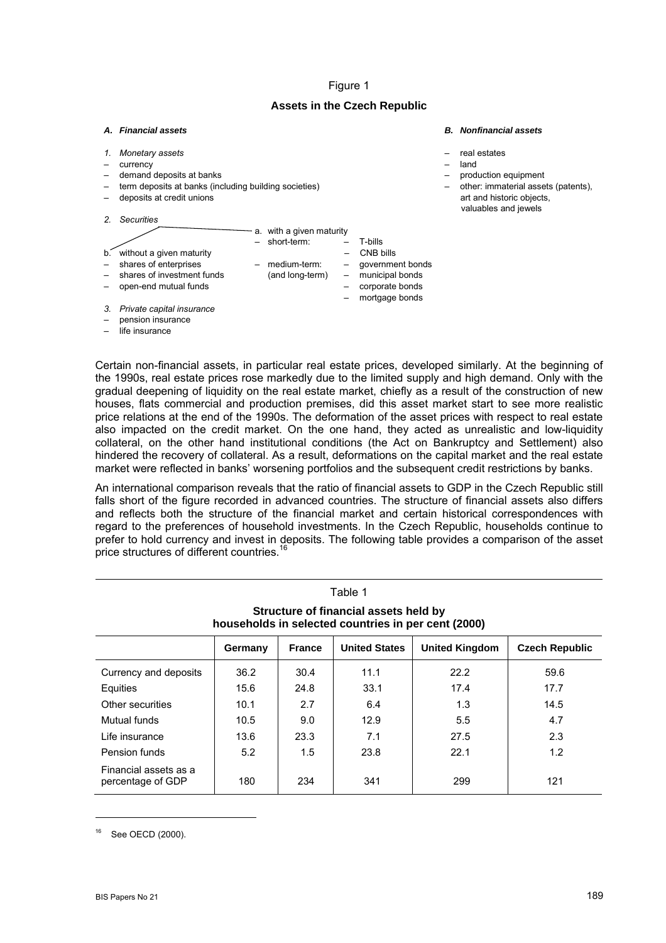#### Figure 1

#### **Assets in the Czech Republic**

## *A. Financial assets B. Nonfinancial assets*

*1. Monetary assets* – real estates – currency – land demand deposits at banks example of the state of the production equipment of the state of the production equipment – term deposits at banks (including building societies) – other: immaterial assets (patents), deposits at credit unions and historic objects, and historic objects, and historic objects, valuables and jewels *2. Securities* - a. with a given maturity – short-term: – T-bills b. without a given maturity<br>  $-$  shares of enterprises  $-$  medium-term: – shares of enterprises – medium-term: – government bonds shares of investment funds (and long-term) – municipal bonds

– mortgage bonds

– open-end mutual funds – corporate bonds

- *3. Private capital insurance*
- pension insurance
- life insurance

Certain non-financial assets, in particular real estate prices, developed similarly. At the beginning of the 1990s, real estate prices rose markedly due to the limited supply and high demand. Only with the gradual deepening of liquidity on the real estate market, chiefly as a result of the construction of new houses, flats commercial and production premises, did this asset market start to see more realistic price relations at the end of the 1990s. The deformation of the asset prices with respect to real estate also impacted on the credit market. On the one hand, they acted as unrealistic and low-liquidity collateral, on the other hand institutional conditions (the Act on Bankruptcy and Settlement) also hindered the recovery of collateral. As a result, deformations on the capital market and the real estate market were reflected in banks' worsening portfolios and the subsequent credit restrictions by banks.

An international comparison reveals that the ratio of financial assets to GDP in the Czech Republic still falls short of the figure recorded in advanced countries. The structure of financial assets also differs and reflects both the structure of the financial market and certain historical correspondences with regard to the preferences of household investments. In the Czech Republic, households continue to prefer to hold currency and invest in deposits. The following table provides a comparison of the asset price structures of different countries.<sup>16</sup>

Table 1

| rapie i                                                                                      |         |               |                      |                       |                       |  |  |
|----------------------------------------------------------------------------------------------|---------|---------------|----------------------|-----------------------|-----------------------|--|--|
| Structure of financial assets held by<br>households in selected countries in per cent (2000) |         |               |                      |                       |                       |  |  |
|                                                                                              | Germany | <b>France</b> | <b>United States</b> | <b>United Kingdom</b> | <b>Czech Republic</b> |  |  |
| Currency and deposits                                                                        | 36.2    | 30.4          | 11.1                 | 22.2                  | 59.6                  |  |  |
| Equities                                                                                     | 15.6    | 24.8          | 33.1                 | 17.4                  | 17.7                  |  |  |
| Other securities                                                                             | 10.1    | 2.7           | 6.4                  | 1.3                   | 14.5                  |  |  |
| Mutual funds                                                                                 | 10.5    | 9.0           | 12.9                 | 5.5                   | 4.7                   |  |  |
| Life insurance                                                                               | 13.6    | 23.3          | 7.1                  | 27.5                  | 2.3                   |  |  |
| Pension funds                                                                                | 5.2     | 1.5           | 23.8                 | 22.1                  | 1.2                   |  |  |
| Financial assets as a<br>percentage of GDP                                                   | 180     | 234           | 341                  | 299                   | 121                   |  |  |

<span id="page-5-0"></span>See OECD (2000).

 $\overline{a}$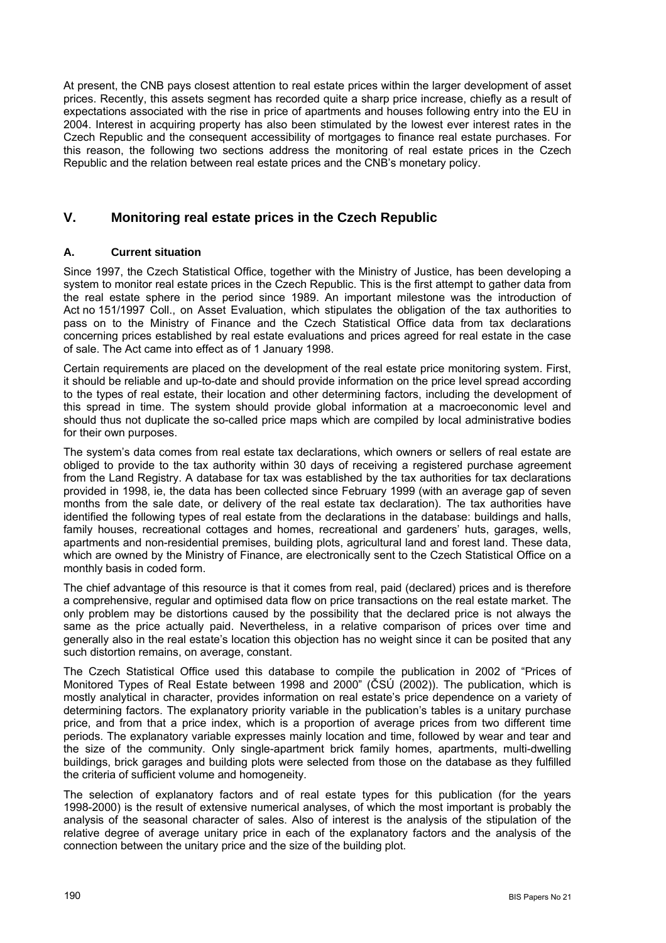At present, the CNB pays closest attention to real estate prices within the larger development of asset prices. Recently, this assets segment has recorded quite a sharp price increase, chiefly as a result of expectations associated with the rise in price of apartments and houses following entry into the EU in 2004. Interest in acquiring property has also been stimulated by the lowest ever interest rates in the Czech Republic and the consequent accessibility of mortgages to finance real estate purchases. For this reason, the following two sections address the monitoring of real estate prices in the Czech Republic and the relation between real estate prices and the CNB's monetary policy.

## **V. Monitoring real estate prices in the Czech Republic**

## **A. Current situation**

Since 1997, the Czech Statistical Office, together with the Ministry of Justice, has been developing a system to monitor real estate prices in the Czech Republic. This is the first attempt to gather data from the real estate sphere in the period since 1989. An important milestone was the introduction of Act no 151/1997 Coll., on Asset Evaluation, which stipulates the obligation of the tax authorities to pass on to the Ministry of Finance and the Czech Statistical Office data from tax declarations concerning prices established by real estate evaluations and prices agreed for real estate in the case of sale. The Act came into effect as of 1 January 1998.

Certain requirements are placed on the development of the real estate price monitoring system. First, it should be reliable and up-to-date and should provide information on the price level spread according to the types of real estate, their location and other determining factors, including the development of this spread in time. The system should provide global information at a macroeconomic level and should thus not duplicate the so-called price maps which are compiled by local administrative bodies for their own purposes.

The system's data comes from real estate tax declarations, which owners or sellers of real estate are obliged to provide to the tax authority within 30 days of receiving a registered purchase agreement from the Land Registry. A database for tax was established by the tax authorities for tax declarations provided in 1998, ie, the data has been collected since February 1999 (with an average gap of seven months from the sale date, or delivery of the real estate tax declaration). The tax authorities have identified the following types of real estate from the declarations in the database: buildings and halls, family houses, recreational cottages and homes, recreational and gardeners' huts, garages, wells, apartments and non-residential premises, building plots, agricultural land and forest land. These data, which are owned by the Ministry of Finance, are electronically sent to the Czech Statistical Office on a monthly basis in coded form.

The chief advantage of this resource is that it comes from real, paid (declared) prices and is therefore a comprehensive, regular and optimised data flow on price transactions on the real estate market. The only problem may be distortions caused by the possibility that the declared price is not always the same as the price actually paid. Nevertheless, in a relative comparison of prices over time and generally also in the real estate's location this objection has no weight since it can be posited that any such distortion remains, on average, constant.

The Czech Statistical Office used this database to compile the publication in 2002 of "Prices of Monitored Types of Real Estate between 1998 and 2000" (ČSÚ (2002)). The publication, which is mostly analytical in character, provides information on real estate's price dependence on a variety of determining factors. The explanatory priority variable in the publication's tables is a unitary purchase price, and from that a price index, which is a proportion of average prices from two different time periods. The explanatory variable expresses mainly location and time, followed by wear and tear and the size of the community. Only single-apartment brick family homes, apartments, multi-dwelling buildings, brick garages and building plots were selected from those on the database as they fulfilled the criteria of sufficient volume and homogeneity.

The selection of explanatory factors and of real estate types for this publication (for the years 1998-2000) is the result of extensive numerical analyses, of which the most important is probably the analysis of the seasonal character of sales. Also of interest is the analysis of the stipulation of the relative degree of average unitary price in each of the explanatory factors and the analysis of the connection between the unitary price and the size of the building plot.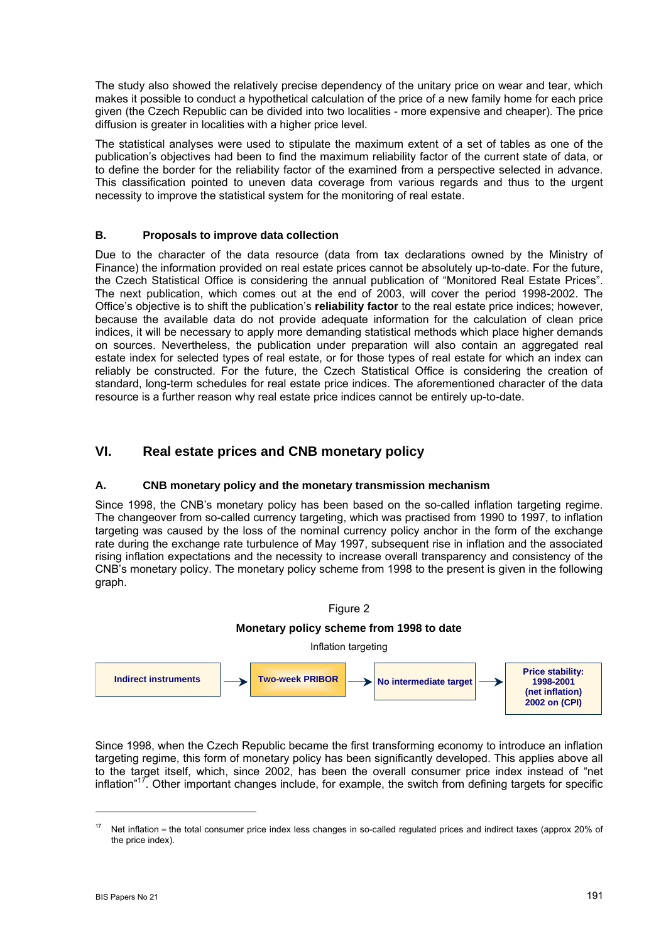The study also showed the relatively precise dependency of the unitary price on wear and tear, which makes it possible to conduct a hypothetical calculation of the price of a new family home for each price given (the Czech Republic can be divided into two localities - more expensive and cheaper). The price diffusion is greater in localities with a higher price level.

The statistical analyses were used to stipulate the maximum extent of a set of tables as one of the publication's objectives had been to find the maximum reliability factor of the current state of data, or to define the border for the reliability factor of the examined from a perspective selected in advance. This classification pointed to uneven data coverage from various regards and thus to the urgent necessity to improve the statistical system for the monitoring of real estate.

### **B. Proposals to improve data collection**

Due to the character of the data resource (data from tax declarations owned by the Ministry of Finance) the information provided on real estate prices cannot be absolutely up-to-date. For the future, the Czech Statistical Office is considering the annual publication of "Monitored Real Estate Prices". The next publication, which comes out at the end of 2003, will cover the period 1998-2002. The Office's objective is to shift the publication's **reliability factor** to the real estate price indices; however, because the available data do not provide adequate information for the calculation of clean price indices, it will be necessary to apply more demanding statistical methods which place higher demands on sources. Nevertheless, the publication under preparation will also contain an aggregated real estate index for selected types of real estate, or for those types of real estate for which an index can reliably be constructed. For the future, the Czech Statistical Office is considering the creation of standard, long-term schedules for real estate price indices. The aforementioned character of the data resource is a further reason why real estate price indices cannot be entirely up-to-date.

## **VI. Real estate prices and CNB monetary policy**

#### **A. CNB monetary policy and the monetary transmission mechanism**

Since 1998, the CNB's monetary policy has been based on the so-called inflation targeting regime. The changeover from so-called currency targeting, which was practised from 1990 to 1997, to inflation targeting was caused by the loss of the nominal currency policy anchor in the form of the exchange rate during the exchange rate turbulence of May 1997, subsequent rise in inflation and the associated rising inflation expectations and the necessity to increase overall transparency and consistency of the CNB's monetary policy. The monetary policy scheme from 1998 to the present is given in the following graph.



Since 1998, when the Czech Republic became the first transforming economy to introduce an inflation targeting regime, this form of monetary policy has been significantly developed. This applies above all to the target itself, which, since 2002, has been the overall consumer price index instead of "net inflation"<sup>17</sup>. Other important changes include, for example, the switch from defining targets for specific

<span id="page-7-0"></span> $17$  Net inflation = the total consumer price index less changes in so-called regulated prices and indirect taxes (approx 20% of the price index).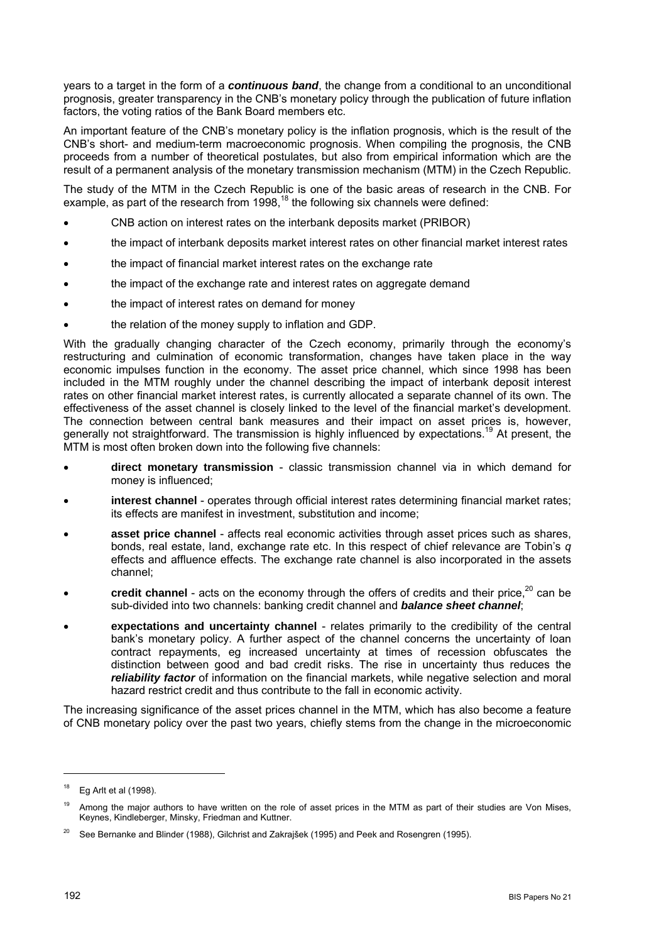years to a target in the form of a *continuous band*, the change from a conditional to an unconditional prognosis, greater transparency in the CNB's monetary policy through the publication of future inflation factors, the voting ratios of the Bank Board members etc.

An important feature of the CNB's monetary policy is the inflation prognosis, which is the result of the CNB's short- and medium-term macroeconomic prognosis. When compiling the prognosis, the CNB proceeds from a number of theoretical postulates, but also from empirical information which are the result of a permanent analysis of the monetary transmission mechanism (MTM) in the Czech Republic.

The study of the MTM in the Czech Republic is one of the basic areas of research in the CNB. For example, as part of the research from  $1998<sup>18</sup>$ , the following six channels were defined:

- CNB action on interest rates on the interbank deposits market (PRIBOR)
- the impact of interbank deposits market interest rates on other financial market interest rates
- the impact of financial market interest rates on the exchange rate
- the impact of the exchange rate and interest rates on aggregate demand
- the impact of interest rates on demand for money
- the relation of the money supply to inflation and GDP.

With the gradually changing character of the Czech economy, primarily through the economy's restructuring and culmination of economic transformation, changes have taken place in the way economic impulses function in the economy. The asset price channel, which since 1998 has been included in the MTM roughly under the channel describing the impact of interbank deposit interest rates on other financial market interest rates, is currently allocated a separate channel of its own. The effectiveness of the asset channel is closely linked to the level of the financial market's development. The connection between central bank measures and their impact on asset prices is, however, generally not straightforward. The transmission is highly influenced by expectations.<sup>19</sup> At present, the MTM is most often broken down into the following five channels:

- **direct monetary transmission** classic transmission channel via in which demand for money is influenced;
- **interest channel** operates through official interest rates determining financial market rates; its effects are manifest in investment, substitution and income;
- **asset price channel** affects real economic activities through asset prices such as shares, bonds, real estate, land, exchange rate etc. In this respect of chief relevance are Tobin's *q* effects and affluence effects. The exchange rate channel is also incorporated in the assets channel;
- credit channel acts on the economy through the offers of credits and their price,<sup>20</sup> can be sub-divided into two channels: banking credit channel and *balance sheet channel*;
- **expectations and uncertainty channel** relates primarily to the credibility of the central bank's monetary policy. A further aspect of the channel concerns the uncertainty of loan contract repayments, eg increased uncertainty at times of recession obfuscates the distinction between good and bad credit risks. The rise in uncertainty thus reduces the *reliability factor* of information on the financial markets, while negative selection and moral hazard restrict credit and thus contribute to the fall in economic activity.

The increasing significance of the asset prices channel in the MTM, which has also become a feature of CNB monetary policy over the past two years, chiefly stems from the change in the microeconomic

<span id="page-8-0"></span> $18$  Eq Arlt et al (1998).

<span id="page-8-1"></span>Among the major authors to have written on the role of asset prices in the MTM as part of their studies are Von Mises, Keynes, Kindleberger, Minsky, Friedman and Kuttner.

<span id="page-8-2"></span><sup>&</sup>lt;sup>20</sup> See Bernanke and Blinder (1988), Gilchrist and Zakrajšek (1995) and Peek and Rosengren (1995).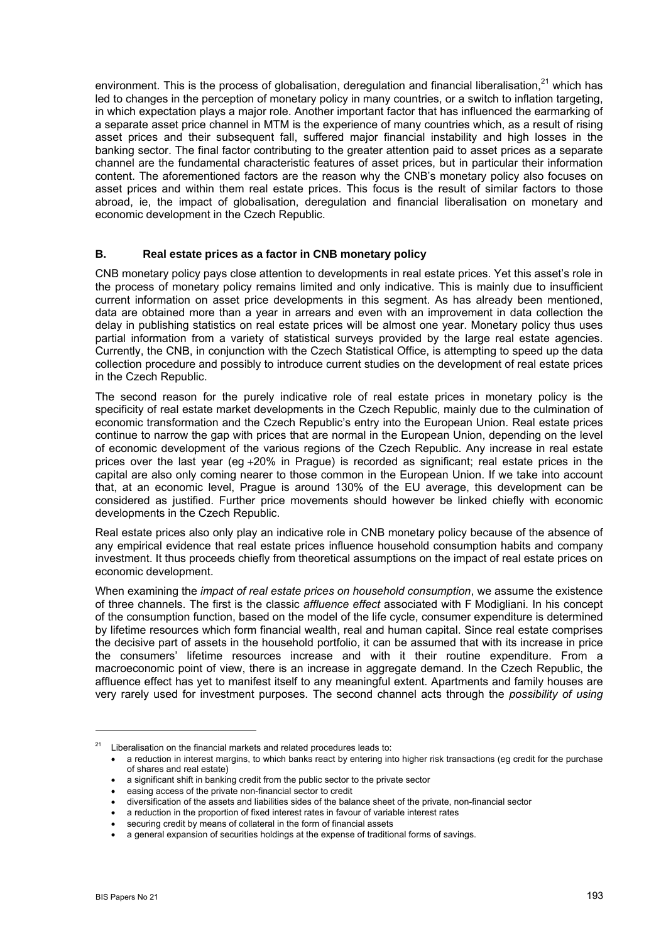environment. This is the process of globalisation, deregulation and financial liberalisation, $^{21}$  which has led to changes in the perception of monetary policy in many countries, or a switch to inflation targeting, in which expectation plays a major role. Another important factor that has influenced the earmarking of a separate asset price channel in MTM is the experience of many countries which, as a result of rising asset prices and their subsequent fall, suffered major financial instability and high losses in the banking sector. The final factor contributing to the greater attention paid to asset prices as a separate channel are the fundamental characteristic features of asset prices, but in particular their information content. The aforementioned factors are the reason why the CNB's monetary policy also focuses on asset prices and within them real estate prices. This focus is the result of similar factors to those abroad, ie, the impact of globalisation, deregulation and financial liberalisation on monetary and economic development in the Czech Republic.

#### **B. Real estate prices as a factor in CNB monetary policy**

CNB monetary policy pays close attention to developments in real estate prices. Yet this asset's role in the process of monetary policy remains limited and only indicative. This is mainly due to insufficient current information on asset price developments in this segment. As has already been mentioned, data are obtained more than a year in arrears and even with an improvement in data collection the delay in publishing statistics on real estate prices will be almost one year. Monetary policy thus uses partial information from a variety of statistical surveys provided by the large real estate agencies. Currently, the CNB, in conjunction with the Czech Statistical Office, is attempting to speed up the data collection procedure and possibly to introduce current studies on the development of real estate prices in the Czech Republic.

The second reason for the purely indicative role of real estate prices in monetary policy is the specificity of real estate market developments in the Czech Republic, mainly due to the culmination of economic transformation and the Czech Republic's entry into the European Union. Real estate prices continue to narrow the gap with prices that are normal in the European Union, depending on the level of economic development of the various regions of the Czech Republic. Any increase in real estate prices over the last year (eg  $+20\%$  in Prague) is recorded as significant; real estate prices in the capital are also only coming nearer to those common in the European Union. If we take into account that, at an economic level, Prague is around 130% of the EU average, this development can be considered as justified. Further price movements should however be linked chiefly with economic developments in the Czech Republic.

Real estate prices also only play an indicative role in CNB monetary policy because of the absence of any empirical evidence that real estate prices influence household consumption habits and company investment. It thus proceeds chiefly from theoretical assumptions on the impact of real estate prices on economic development.

When examining the *impact of real estate prices on household consumption*, we assume the existence of three channels. The first is the classic *affluence effect* associated with F Modigliani. In his concept of the consumption function, based on the model of the life cycle, consumer expenditure is determined by lifetime resources which form financial wealth, real and human capital. Since real estate comprises the decisive part of assets in the household portfolio, it can be assumed that with its increase in price the consumers' lifetime resources increase and with it their routine expenditure. From a macroeconomic point of view, there is an increase in aggregate demand. In the Czech Republic, the affluence effect has yet to manifest itself to any meaningful extent. Apartments and family houses are very rarely used for investment purposes. The second channel acts through the *possibility of using* 

<span id="page-9-0"></span> $21$  Liberalisation on the financial markets and related procedures leads to:

<sup>•</sup> a reduction in interest margins, to which banks react by entering into higher risk transactions (eg credit for the purchase of shares and real estate)

<sup>•</sup> a significant shift in banking credit from the public sector to the private sector

<sup>•</sup> easing access of the private non-financial sector to credit

<sup>•</sup> diversification of the assets and liabilities sides of the balance sheet of the private, non-financial sector

<sup>•</sup> a reduction in the proportion of fixed interest rates in favour of variable interest rates

securing credit by means of collateral in the form of financial assets

<sup>•</sup> a general expansion of securities holdings at the expense of traditional forms of savings.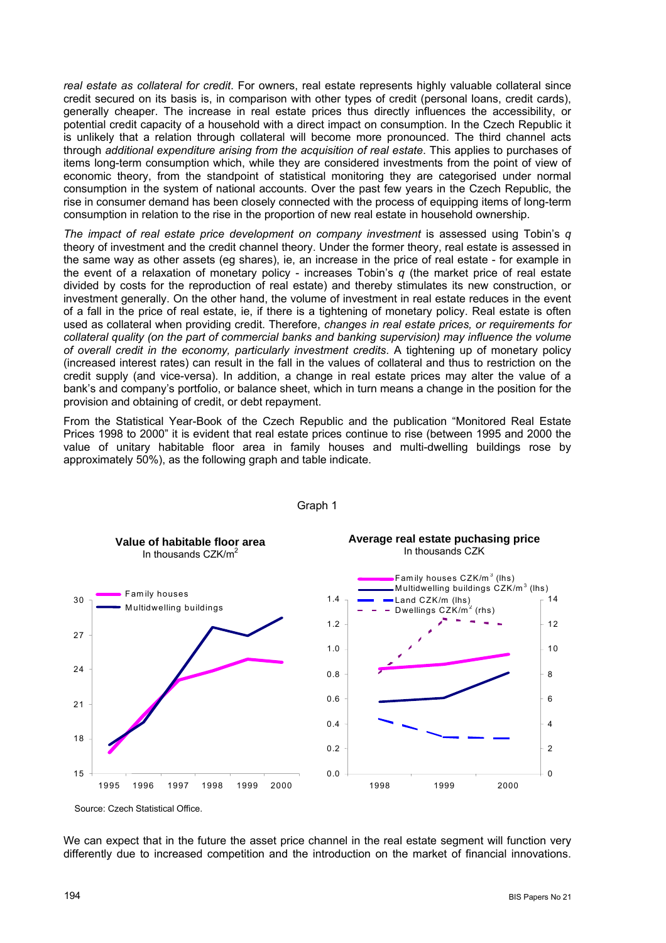*real estate as collateral for credit*. For owners, real estate represents highly valuable collateral since credit secured on its basis is, in comparison with other types of credit (personal loans, credit cards), generally cheaper. The increase in real estate prices thus directly influences the accessibility, or potential credit capacity of a household with a direct impact on consumption. In the Czech Republic it is unlikely that a relation through collateral will become more pronounced. The third channel acts through *additional expenditure arising from the acquisition of real estate*. This applies to purchases of items long-term consumption which, while they are considered investments from the point of view of economic theory, from the standpoint of statistical monitoring they are categorised under normal consumption in the system of national accounts. Over the past few years in the Czech Republic, the rise in consumer demand has been closely connected with the process of equipping items of long-term consumption in relation to the rise in the proportion of new real estate in household ownership.

*The impact of real estate price development on company investment* is assessed using Tobin's *q* theory of investment and the credit channel theory. Under the former theory, real estate is assessed in the same way as other assets (eg shares), ie, an increase in the price of real estate - for example in the event of a relaxation of monetary policy - increases Tobin's *q* (the market price of real estate divided by costs for the reproduction of real estate) and thereby stimulates its new construction, or investment generally. On the other hand, the volume of investment in real estate reduces in the event of a fall in the price of real estate, ie, if there is a tightening of monetary policy. Real estate is often used as collateral when providing credit. Therefore, *changes in real estate prices, or requirements for collateral quality (on the part of commercial banks and banking supervision) may influence the volume of overall credit in the economy, particularly investment credits*. A tightening up of monetary policy (increased interest rates) can result in the fall in the values of collateral and thus to restriction on the credit supply (and vice-versa). In addition, a change in real estate prices may alter the value of a bank's and company's portfolio, or balance sheet, which in turn means a change in the position for the provision and obtaining of credit, or debt repayment.

From the Statistical Year-Book of the Czech Republic and the publication "Monitored Real Estate Prices 1998 to 2000" it is evident that real estate prices continue to rise (between 1995 and 2000 the value of unitary habitable floor area in family houses and multi-dwelling buildings rose by approximately 50%), as the following graph and table indicate.



Graph 1

Source: Czech Statistical Office.

We can expect that in the future the asset price channel in the real estate segment will function very differently due to increased competition and the introduction on the market of financial innovations.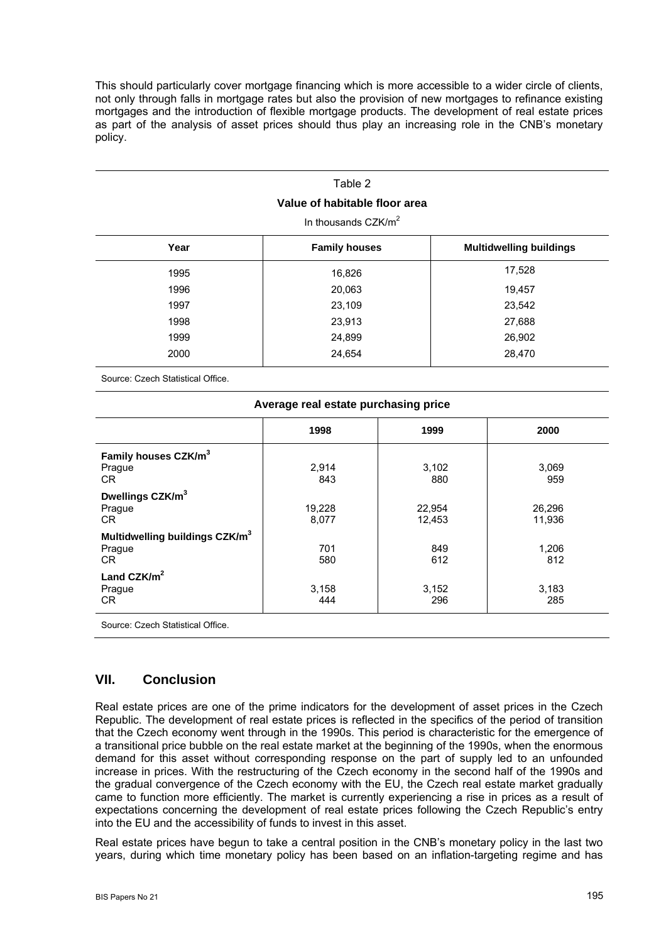This should particularly cover mortgage financing which is more accessible to a wider circle of clients, not only through falls in mortgage rates but also the provision of new mortgages to refinance existing mortgages and the introduction of flexible mortgage products. The development of real estate prices as part of the analysis of asset prices should thus play an increasing role in the CNB's monetary policy.

# Table 2 **Value of habitable floor area**  In thousands CZK/m<sup>2</sup> **Year Family houses Multidwelling buildings** 1995 16,826 16,826 17,528 1996 20,063 19,457 1997 23,109 23,542 1998 23,913 27,688 1999 24,899 26,902 2000 24,654 28,470

Source: Czech Statistical Office.

| Average real estate purchasing price       |        |        |        |  |  |  |
|--------------------------------------------|--------|--------|--------|--|--|--|
|                                            | 1998   | 1999   | 2000   |  |  |  |
| Family houses CZK/m <sup>3</sup>           |        |        |        |  |  |  |
| Prague                                     | 2,914  | 3,102  | 3,069  |  |  |  |
| CR.                                        | 843    | 880    | 959    |  |  |  |
| Dwellings CZK/m <sup>3</sup>               |        |        |        |  |  |  |
| Prague                                     | 19,228 | 22,954 | 26,296 |  |  |  |
| CR                                         | 8,077  | 12,453 | 11,936 |  |  |  |
| Multidwelling buildings CZK/m <sup>3</sup> |        |        |        |  |  |  |
| Prague                                     | 701    | 849    | 1,206  |  |  |  |
| CR                                         | 580    | 612    | 812    |  |  |  |
| Land $CZK/m2$                              |        |        |        |  |  |  |
| Prague                                     | 3,158  | 3,152  | 3,183  |  |  |  |
| CR                                         | 444    | 296    | 285    |  |  |  |

Source: Czech Statistical Office.

## **VII. Conclusion**

Real estate prices are one of the prime indicators for the development of asset prices in the Czech Republic. The development of real estate prices is reflected in the specifics of the period of transition that the Czech economy went through in the 1990s. This period is characteristic for the emergence of a transitional price bubble on the real estate market at the beginning of the 1990s, when the enormous demand for this asset without corresponding response on the part of supply led to an unfounded increase in prices. With the restructuring of the Czech economy in the second half of the 1990s and the gradual convergence of the Czech economy with the EU, the Czech real estate market gradually came to function more efficiently. The market is currently experiencing a rise in prices as a result of expectations concerning the development of real estate prices following the Czech Republic's entry into the EU and the accessibility of funds to invest in this asset.

Real estate prices have begun to take a central position in the CNB's monetary policy in the last two years, during which time monetary policy has been based on an inflation-targeting regime and has